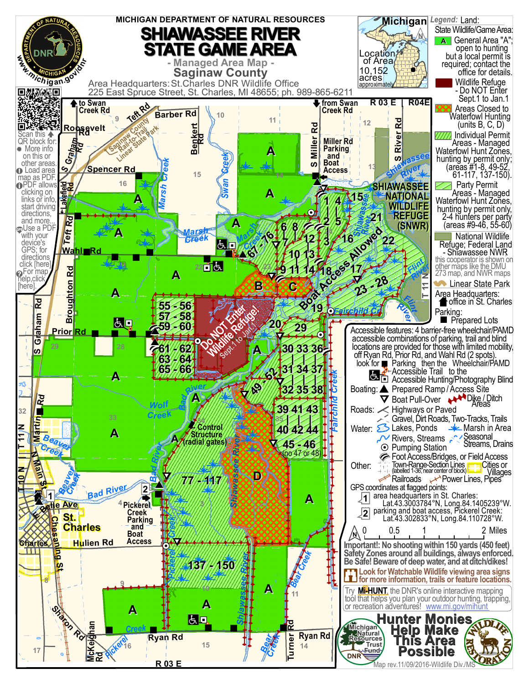